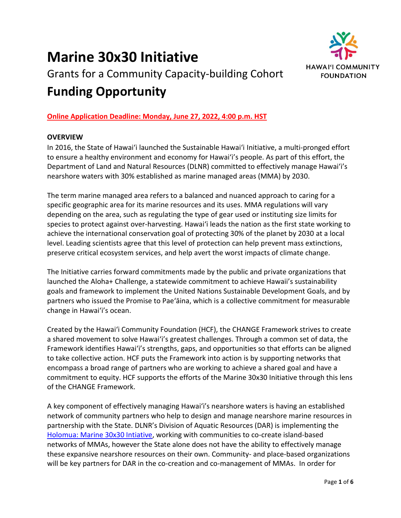# **Marine 30x30 Initiative**



## Grants for a Community Capacity-building Cohort **Funding Opportunity**

## **Online Application Deadline: Monday, June 27, 2022, 4:00 p.m. HST**

## **OVERVIEW**

In 2016, the State of Hawaiʻi launched the Sustainable Hawaiʻi Initiative, a multi-pronged effort to ensure a healthy environment and economy for Hawaiʻi's people. As part of this effort, the Department of Land and Natural Resources (DLNR) committed to effectively manage Hawaiʻi's nearshore waters with 30% established as marine managed areas (MMA) by 2030.

The term marine managed area refers to a balanced and nuanced approach to caring for a specific geographic area for its marine resources and its uses. MMA regulations will vary depending on the area, such as regulating the type of gear used or instituting size limits for species to protect against over-harvesting. Hawai'i leads the nation as the first state working to achieve the international conservation goal of protecting 30% of the planet by 2030 at a local level. Leading scientists agree that this level of protection can help prevent mass extinctions, preserve critical ecosystem services, and help avert the worst impacts of climate change.

The Initiative carries forward commitments made by the public and private organizations that launched the Aloha+ Challenge, a statewide commitment to achieve Hawaii's sustainability goals and framework to implement the United Nations Sustainable Development Goals, and by partners who issued the Promise to Pae'āina, which is a collective commitment for measurable change in Hawai'i's ocean.

Created by the Hawai'i Community Foundation (HCF), the CHANGE Framework strives to create a shared movement to solve Hawai'i's greatest challenges. Through a common set of data, the Framework identifies Hawai'i's strengths, gaps, and opportunities so that efforts can be aligned to take collective action. HCF puts the Framework into action is by supporting networks that encompass a broad range of partners who are working to achieve a shared goal and have a commitment to equity. HCF supports the efforts of the Marine 30x30 Initiative through this lens of the CHANGE Framework.

A key component of effectively managing Hawai'i's nearshore waters is having an established network of community partners who help to design and manage nearshore marine resources in partnership with the State. DLNR's Division of Aquatic Resources (DAR) is implementing the [Holomua: Marine 30x30 Intiative,](https://dlnr.hawaii.gov/dar/30x30/) working with communities to co-create island-based networks of MMAs, however the State alone does not have the ability to effectively manage these expansive nearshore resources on their own. Community- and place-based organizations will be key partners for DAR in the co-creation and co-management of MMAs. In order for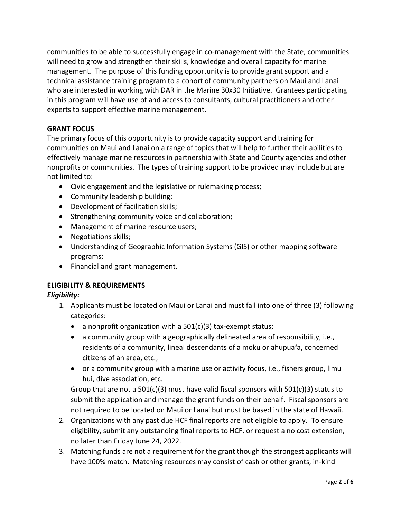communities to be able to successfully engage in co-management with the State, communities will need to grow and strengthen their skills, knowledge and overall capacity for marine management. The purpose of this funding opportunity is to provide grant support and a technical assistance training program to a cohort of community partners on Maui and Lanai who are interested in working with DAR in the Marine 30x30 Initiative. Grantees participating in this program will have use of and access to consultants, cultural practitioners and other experts to support effective marine management.

## **GRANT FOCUS**

The primary focus of this opportunity is to provide capacity support and training for communities on Maui and Lanai on a range of topics that will help to further their abilities to effectively manage marine resources in partnership with State and County agencies and other nonprofits or communities. The types of training support to be provided may include but are not limited to:

- Civic engagement and the legislative or rulemaking process;
- Community leadership building;
- Development of facilitation skills;
- Strengthening community voice and collaboration;
- Management of marine resource users;
- Negotiations skills;
- Understanding of Geographic Information Systems (GIS) or other mapping software programs;
- Financial and grant management.

#### **ELIGIBILITY & REQUIREMENTS**

#### *Eligibility:*

- 1. Applicants must be located on Maui or Lanai and must fall into one of three (3) following categories:
	- a nonprofit organization with a 501(c)(3) tax-exempt status;
	- a community group with a geographically delineated area of responsibility, i.e., residents of a community, lineal descendants of a moku or ahupua**ʻ**a, concerned citizens of an area, etc.;
	- or a community group with a marine use or activity focus, i.e., fishers group, limu hui, dive association, etc.

Group that are not a 501(c)(3) must have valid fiscal sponsors with 501(c)(3) status to submit the application and manage the grant funds on their behalf. Fiscal sponsors are not required to be located on Maui or Lanai but must be based in the state of Hawaii.

- 2. Organizations with any past due HCF final reports are not eligible to apply. To ensure eligibility, submit any outstanding final reports to HCF, or request a no cost extension, no later than Friday June 24, 2022.
- 3. Matching funds are not a requirement for the grant though the strongest applicants will have 100% match. Matching resources may consist of cash or other grants, in-kind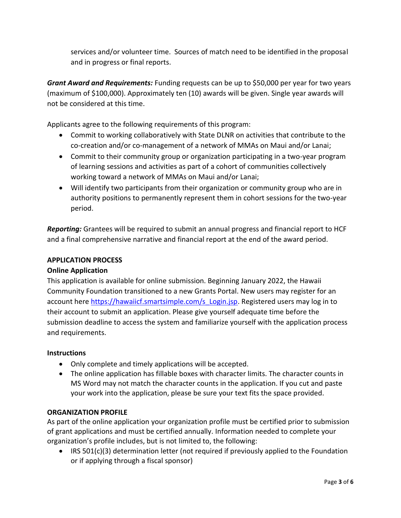services and/or volunteer time. Sources of match need to be identified in the proposal and in progress or final reports.

*Grant Award and Requirements:* Funding requests can be up to \$50,000 per year for two years (maximum of \$100,000). Approximately ten (10) awards will be given. Single year awards will not be considered at this time.

Applicants agree to the following requirements of this program:

- Commit to working collaboratively with State DLNR on activities that contribute to the co-creation and/or co-management of a network of MMAs on Maui and/or Lanai;
- Commit to their community group or organization participating in a two-year program of learning sessions and activities as part of a cohort of communities collectively working toward a network of MMAs on Maui and/or Lanai;
- Will identify two participants from their organization or community group who are in authority positions to permanently represent them in cohort sessions for the two-year period.

*Reporting:* Grantees will be required to submit an annual progress and financial report to HCF and a final comprehensive narrative and financial report at the end of the award period.

## **APPLICATION PROCESS**

## **Online Application**

This application is available for online submission. Beginning January 2022, the Hawaii Community Foundation transitioned to a new Grants Portal. New users may register for an account her[e https://hawaiicf.smartsimple.com/s\\_Login.jsp.](https://hawaiicf.smartsimple.com/s_Login.jsp) Registered users may log in to their account to submit an application. Please give yourself adequate time before the submission deadline to access the system and familiarize yourself with the application process and requirements.

#### **Instructions**

- Only complete and timely applications will be accepted.
- The online application has fillable boxes with character limits. The character counts in MS Word may not match the character counts in the application. If you cut and paste your work into the application, please be sure your text fits the space provided.

#### **ORGANIZATION PROFILE**

As part of the online application your organization profile must be certified prior to submission of grant applications and must be certified annually. Information needed to complete your organization's profile includes, but is not limited to, the following:

• IRS 501(c)(3) determination letter (not required if previously applied to the Foundation or if applying through a fiscal sponsor)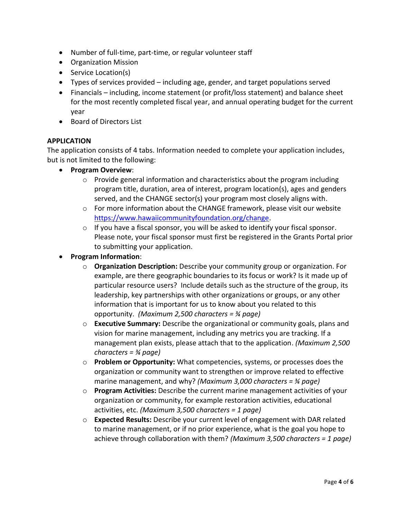- Number of full-time, part-time, or regular volunteer staff
- Organization Mission
- Service Location(s)
- Types of services provided including age, gender, and target populations served
- Financials including, income statement (or profit/loss statement) and balance sheet for the most recently completed fiscal year, and annual operating budget for the current year
- Board of Directors List

### **APPLICATION**

The application consists of 4 tabs. Information needed to complete your application includes, but is not limited to the following:

- **Program Overview**:
	- $\circ$  Provide general information and characteristics about the program including program title, duration, area of interest, program location(s), ages and genders served, and the CHANGE sector(s) your program most closely aligns with.
	- $\circ$  For more information about the CHANGE framework, please visit our website [https://www.hawaiicommunityfoundation.org/change.](https://www.hawaiicommunityfoundation.org/change)
	- $\circ$  If you have a fiscal sponsor, you will be asked to identify your fiscal sponsor. Please note, your fiscal sponsor must first be registered in the Grants Portal prior to submitting your application.
- **Program Information**:
	- o **Organization Description:** Describe your community group or organization. For example, are there geographic boundaries to its focus or work? Is it made up of particular resource users? Include details such as the structure of the group, its leadership, key partnerships with other organizations or groups, or any other information that is important for us to know about you related to this opportunity. *(Maximum 2,500 characters = ¾ page)*
	- o **Executive Summary:** Describe the organizational or community goals, plans and vision for marine management, including any metrics you are tracking. If a management plan exists, please attach that to the application. *(Maximum 2,500 characters = ¾ page)*
	- o **Problem or Opportunity:** What competencies, systems, or processes does the organization or community want to strengthen or improve related to effective marine management, and why? *(Maximum 3,000 characters = ¾ page)*
	- o **Program Activities:** Describe the current marine management activities of your organization or community, for example restoration activities, educational activities, etc. *(Maximum 3,500 characters = 1 page)*
	- o **Expected Results:** Describe your current level of engagement with DAR related to marine management, or if no prior experience, what is the goal you hope to achieve through collaboration with them? *(Maximum 3,500 characters = 1 page)*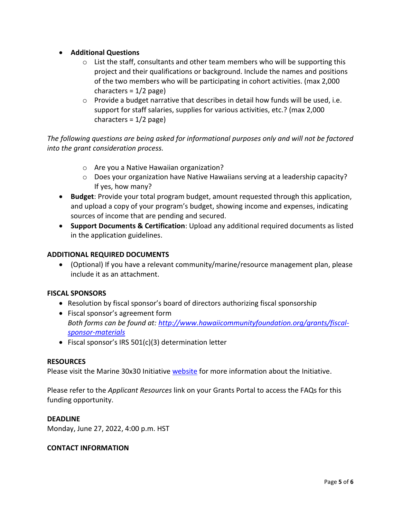- **Additional Questions**
	- $\circ$  List the staff, consultants and other team members who will be supporting this project and their qualifications or background. Include the names and positions of the two members who will be participating in cohort activities. (max 2,000 characters = 1/2 page)
	- o Provide a budget narrative that describes in detail how funds will be used, i.e. support for staff salaries, supplies for various activities, etc.? (max 2,000 characters =  $1/2$  page)

*The following questions are being asked for informational purposes only and will not be factored into the grant consideration process.*

- o Are you a Native Hawaiian organization?
- $\circ$  Does your organization have Native Hawaiians serving at a leadership capacity? If yes, how many?
- **Budget**: Provide your total program budget, amount requested through this application, and upload a copy of your program's budget, showing income and expenses, indicating sources of income that are pending and secured.
- **Support Documents & Certification**: Upload any additional required documents as listed in the application guidelines.

#### **ADDITIONAL REQUIRED DOCUMENTS**

• (Optional) If you have a relevant community/marine/resource management plan, please include it as an attachment.

#### **FISCAL SPONSORS**

- Resolution by fiscal sponsor's board of directors authorizing fiscal sponsorship
- Fiscal sponsor's agreement form *Both forms can be found at[: http://www.hawaiicommunityfoundation.org/grants/fiscal](http://www.hawaiicommunityfoundation.org/grants/fiscal-sponsor-materials)[sponsor-materials](http://www.hawaiicommunityfoundation.org/grants/fiscal-sponsor-materials)*
- Fiscal sponsor's IRS 501(c)(3) determination letter

#### **RESOURCES**

Please visit the Marine 30x30 Initiative [website](https://www.hawaiicommunityfoundation.org/strengthening/marine-30x30) for more information about the Initiative.

Please refer to the *Applicant Resources* link on your Grants Portal to access the FAQs for this funding opportunity.

#### **DEADLINE**

Monday, June 27, 2022, 4:00 p.m. HST

#### **CONTACT INFORMATION**